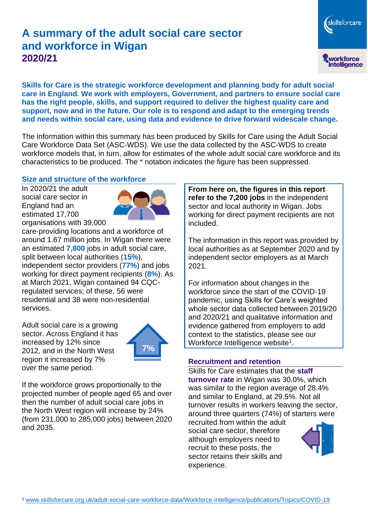# **A summary of the adult social care sector and workforce in Wigan 2020/21**

skillsforcare workforce<br>intelligence

**Skills for Care is the strategic workforce development and planning body for adult social care in England. We work with employers, Government, and partners to ensure social care has the right people, skills, and support required to deliver the highest quality care and support, now and in the future. Our role is to respond and adapt to the emerging trends and needs within social care, using data and evidence to drive forward widescale change.**

The information within this summary has been produced by Skills for Care using the Adult Social Care Workforce Data Set (ASC-WDS). We use the data collected by the ASC-WDS to create workforce models that, in turn, allow for estimates of the whole adult social care workforce and its characteristics to be produced. The \* notation indicates the figure has been suppressed.

#### **Size and structure of the workforce**

In 2020/21 the adult social care sector in England had an estimated 17,700 organisations with 39,000



care-providing locations and a workforce of around 1.67 million jobs. In Wigan there were an estimated **7,800** jobs in adult social care, split between local authorities (**15%**), independent sector providers (**77%**) and jobs working for direct payment recipients (**8%**). As at March 2021, Wigan contained 94 CQCregulated services; of these, 56 were residential and 38 were non-residential services.

Adult social care is a growing sector. Across England it has increased by 12% since 2012, and in the North West region it increased by 7% over the same period.



If the workforce grows proportionally to the projected number of people aged 65 and over then the number of adult social care jobs in the North West region will increase by 24% (from 231,000 to 285,000 jobs) between 2020 and 2035.

**From here on, the figures in this report refer to the 7,200 jobs** in the independent sector and local authority in Wigan. Jobs working for direct payment recipients are not included.

The information in this report was provided by local authorities as at September 2020 and by independent sector employers as at March 2021.

For information about changes in the workforce since the start of the COVID-19 pandemic, using Skills for Care's weighted whole sector data collected between 2019/20 and 2020/21 and qualitative information and evidence gathered from employers to add context to the statistics, please see our Workforce Intelligence website<sup>1</sup>.

#### **Recruitment and retention**

Skills for Care estimates that the **staff turnover rate** in Wigan was 30.0%, which was similar to the region average of 28.4% and similar to England, at 29.5%. Not all turnover results in workers leaving the sector, around three quarters (74%) of starters were

recruited from within the adult social care sector, therefore although employers need to recruit to these posts, the sector retains their skills and experience.

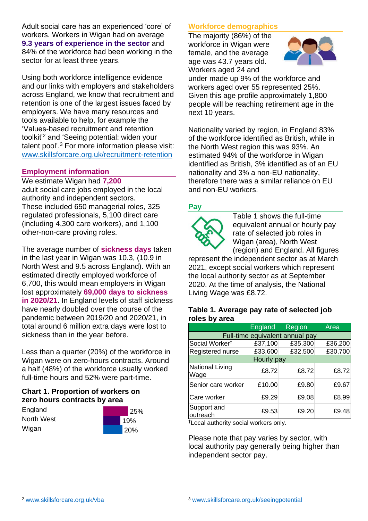Adult social care has an experienced 'core' of workers. Workers in Wigan had on average **9.3 years of experience in the sector** and 84% of the workforce had been working in the sector for at least three years.

Using both workforce intelligence evidence and our links with employers and stakeholders across England, we know that recruitment and retention is one of the largest issues faced by employers. We have many resources and tools available to help, for example the 'Values-based recruitment and retention toolkit'<sup>2</sup> and 'Seeing potential: widen your talent pool'. <sup>3</sup> For more information please visit: [www.skillsforcare.org.uk/recruitment-retention](http://www.skillsforcare.org.uk/recruitment-retention)

#### **Employment information**

We estimate Wigan had **7,200** adult social care jobs employed in the local authority and independent sectors. These included 650 managerial roles, 325 regulated professionals, 5,100 direct care (including 4,300 care workers), and 1,100 other-non-care proving roles.

The average number of **sickness days** taken in the last year in Wigan was 10.3, (10.9 in North West and 9.5 across England). With an estimated directly employed workforce of 6,700, this would mean employers in Wigan lost approximately **69,000 days to sickness in 2020/21**. In England levels of staff sickness have nearly doubled over the course of the pandemic between 2019/20 and 2020/21, in total around 6 million extra days were lost to sickness than in the year before.

Less than a quarter (20%) of the workforce in Wigan were on zero-hours contracts. Around a half (48%) of the workforce usually worked full-time hours and 52% were part-time.

### **Chart 1. Proportion of workers on zero hours contracts by area**

**England** North West Wigan



### **Workforce demographics**

The majority (86%) of the workforce in Wigan were female, and the average age was 43.7 years old. Workers aged 24 and



under made up 9% of the workforce and workers aged over 55 represented 25%. Given this age profile approximately 1,800 people will be reaching retirement age in the next 10 years.

Nationality varied by region, in England 83% of the workforce identified as British, while in the North West region this was 93%. An estimated 94% of the workforce in Wigan identified as British, 3% identified as of an EU nationality and 3% a non-EU nationality, therefore there was a similar reliance on EU and non-EU workers.

### **Pay**



Table 1 shows the full-time equivalent annual or hourly pay rate of selected job roles in Wigan (area), North West (region) and England. All figures

represent the independent sector as at March 2021, except social workers which represent the local authority sector as at September 2020. At the time of analysis, the National Living Wage was £8.72.

#### **Table 1. Average pay rate of selected job roles by area**

|                                 | England | Region  | Area    |
|---------------------------------|---------|---------|---------|
| Full-time equivalent annual pay |         |         |         |
| Social Worker <sup>t</sup>      | £37,100 | £35,300 | £36,200 |
| Registered nurse                | £33,600 | £32,500 | £30,700 |
| Hourly pay                      |         |         |         |
| National Living<br>Wage         | £8.72   | £8.72   | £8.72   |
| Senior care worker              | £10.00  | £9.80   | £9.67   |
| Care worker                     | £9.29   | £9.08   | £8.99   |
| Support and<br>outreach         | £9.53   | £9.20   | £9.48   |

†Local authority social workers only.

Please note that pay varies by sector, with local authority pay generally being higher than independent sector pay.

[www.skillsforcare.org.uk/vba](http://www.skillsforcare.org.uk/vba)